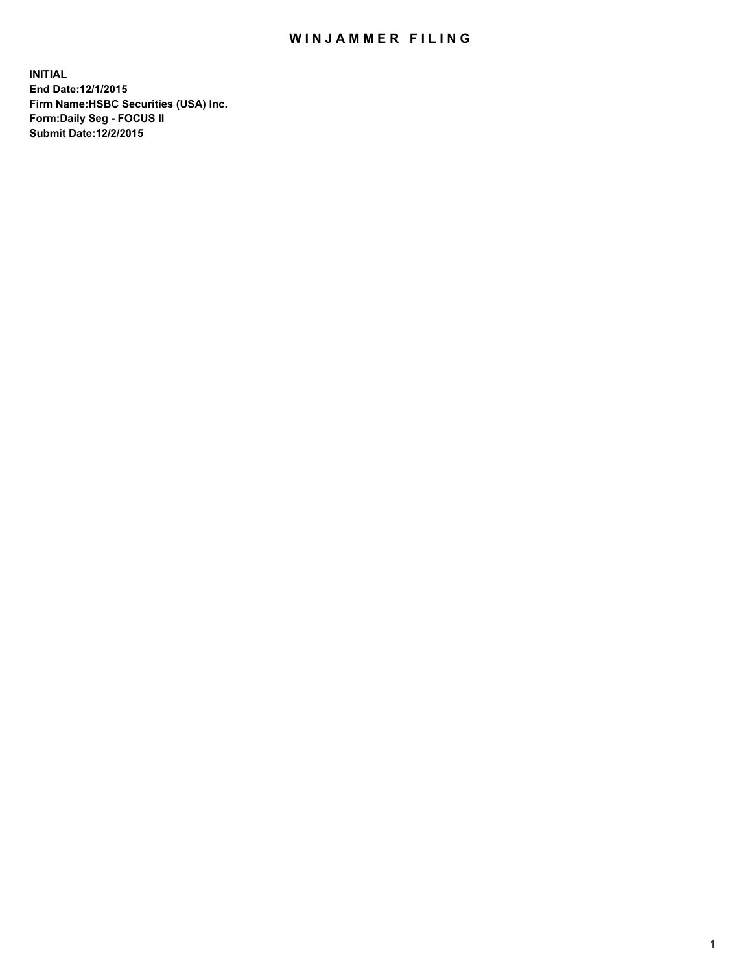## WIN JAMMER FILING

**INITIAL End Date:12/1/2015 Firm Name:HSBC Securities (USA) Inc. Form:Daily Seg - FOCUS II Submit Date:12/2/2015**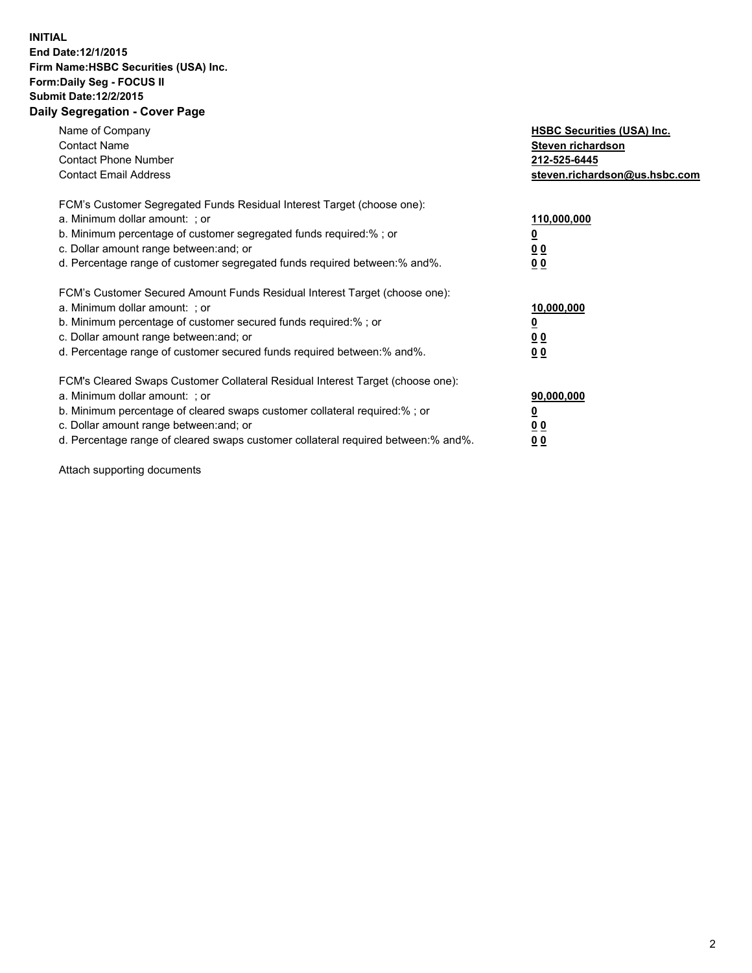## **INITIAL End Date:12/1/2015 Firm Name:HSBC Securities (USA) Inc. Form:Daily Seg - FOCUS II Submit Date:12/2/2015 Daily Segregation - Cover Page**

| Name of Company<br><b>Contact Name</b><br><b>Contact Phone Number</b><br><b>Contact Email Address</b>                                                                                                                                                                                                                         | <b>HSBC Securities (USA) Inc.</b><br>Steven richardson<br>212-525-6445<br>steven.richardson@us.hsbc.com |
|-------------------------------------------------------------------------------------------------------------------------------------------------------------------------------------------------------------------------------------------------------------------------------------------------------------------------------|---------------------------------------------------------------------------------------------------------|
| FCM's Customer Segregated Funds Residual Interest Target (choose one):<br>a. Minimum dollar amount: ; or<br>b. Minimum percentage of customer segregated funds required:%; or<br>c. Dollar amount range between: and; or<br>d. Percentage range of customer segregated funds required between:% and%.                         | 110,000,000<br><u>0</u><br>0 <sub>0</sub><br>0 <sub>0</sub>                                             |
| FCM's Customer Secured Amount Funds Residual Interest Target (choose one):<br>a. Minimum dollar amount: ; or<br>b. Minimum percentage of customer secured funds required:%; or<br>c. Dollar amount range between: and; or<br>d. Percentage range of customer secured funds required between:% and%.                           | 10,000,000<br><u>0</u><br>0 <sub>0</sub><br>0 <sub>0</sub>                                              |
| FCM's Cleared Swaps Customer Collateral Residual Interest Target (choose one):<br>a. Minimum dollar amount: ; or<br>b. Minimum percentage of cleared swaps customer collateral required:%; or<br>c. Dollar amount range between: and; or<br>d. Percentage range of cleared swaps customer collateral required between:% and%. | 90,000,000<br><u>0</u><br>0 <sub>0</sub><br>0 <sub>0</sub>                                              |

Attach supporting documents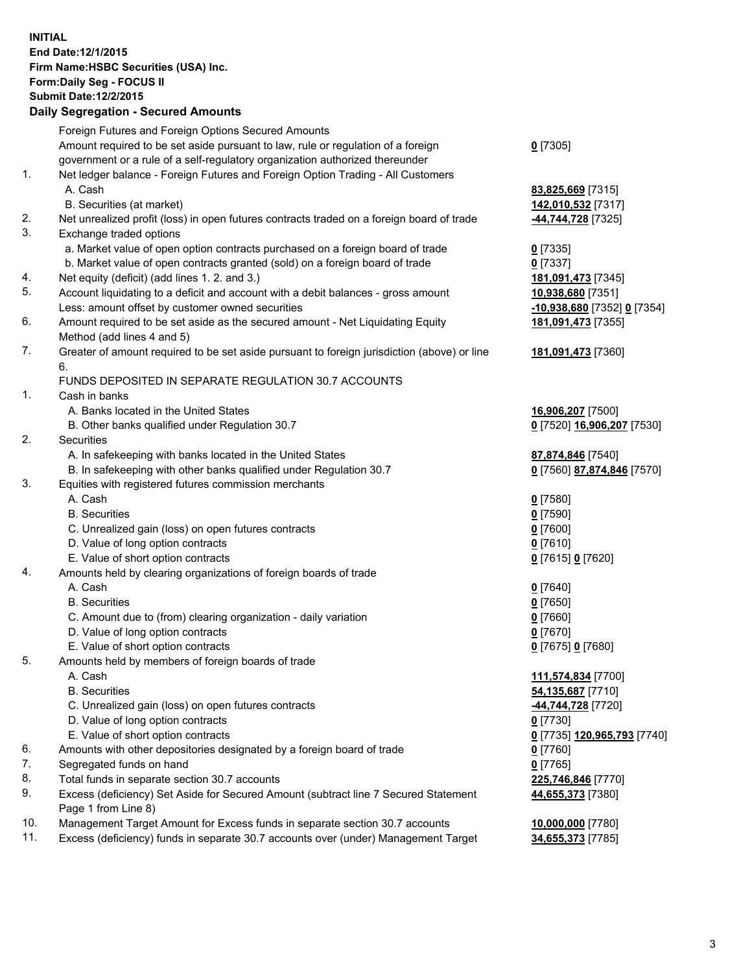**INITIAL End Date:12/1/2015 Firm Name:HSBC Securities (USA) Inc. Form:Daily Seg - FOCUS II Submit Date:12/2/2015 Daily Segregation - Secured Amounts**

Foreign Futures and Foreign Options Secured Amounts Amount required to be set aside pursuant to law, rule or regulation of a foreign government or a rule of a self-regulatory organization authorized thereunder **0** [7305] 1. Net ledger balance - Foreign Futures and Foreign Option Trading - All Customers A. Cash **83,825,669** [7315] B. Securities (at market) **142,010,532** [7317] 2. Net unrealized profit (loss) in open futures contracts traded on a foreign board of trade **-44,744,728** [7325] 3. Exchange traded options a. Market value of open option contracts purchased on a foreign board of trade **0** [7335] b. Market value of open contracts granted (sold) on a foreign board of trade **0** [7337] 4. Net equity (deficit) (add lines 1. 2. and 3.) **181,091,473** [7345] 5. Account liquidating to a deficit and account with a debit balances - gross amount **10,938,680** [7351] Less: amount offset by customer owned securities **-10,938,680** [7352] **0** [7354] 6. Amount required to be set aside as the secured amount - Net Liquidating Equity Method (add lines 4 and 5) **181,091,473** [7355] 7. Greater of amount required to be set aside pursuant to foreign jurisdiction (above) or line 6. **181,091,473** [7360] FUNDS DEPOSITED IN SEPARATE REGULATION 30.7 ACCOUNTS 1. Cash in banks A. Banks located in the United States **16,906,207** [7500] B. Other banks qualified under Regulation 30.7 **0** [7520] **16,906,207** [7530] 2. Securities A. In safekeeping with banks located in the United States **87,874,846** [7540] B. In safekeeping with other banks qualified under Regulation 30.7 **0** [7560] **87,874,846** [7570] 3. Equities with registered futures commission merchants A. Cash **0** [7580] B. Securities **0** [7590] C. Unrealized gain (loss) on open futures contracts **0** [7600] D. Value of long option contracts **0** [7610] E. Value of short option contracts **0** [7615] **0** [7620] 4. Amounts held by clearing organizations of foreign boards of trade A. Cash **0** [7640] B. Securities **0** [7650] C. Amount due to (from) clearing organization - daily variation **0** [7660] D. Value of long option contracts **0** [7670] E. Value of short option contracts **0** [7675] **0** [7680] 5. Amounts held by members of foreign boards of trade A. Cash **111,574,834** [7700] B. Securities **54,135,687** [7710] C. Unrealized gain (loss) on open futures contracts **-44,744,728** [7720] D. Value of long option contracts **0** [7730] E. Value of short option contracts **0** [7735] **120,965,793** [7740] 6. Amounts with other depositories designated by a foreign board of trade **0** [7760] 7. Segregated funds on hand **0** [7765] 8. Total funds in separate section 30.7 accounts **225,746,846** [7770] 9. Excess (deficiency) Set Aside for Secured Amount (subtract line 7 Secured Statement Page 1 from Line 8) **44,655,373** [7380] 10. Management Target Amount for Excess funds in separate section 30.7 accounts **10,000,000** [7780] 11. Excess (deficiency) funds in separate 30.7 accounts over (under) Management Target **34,655,373** [7785]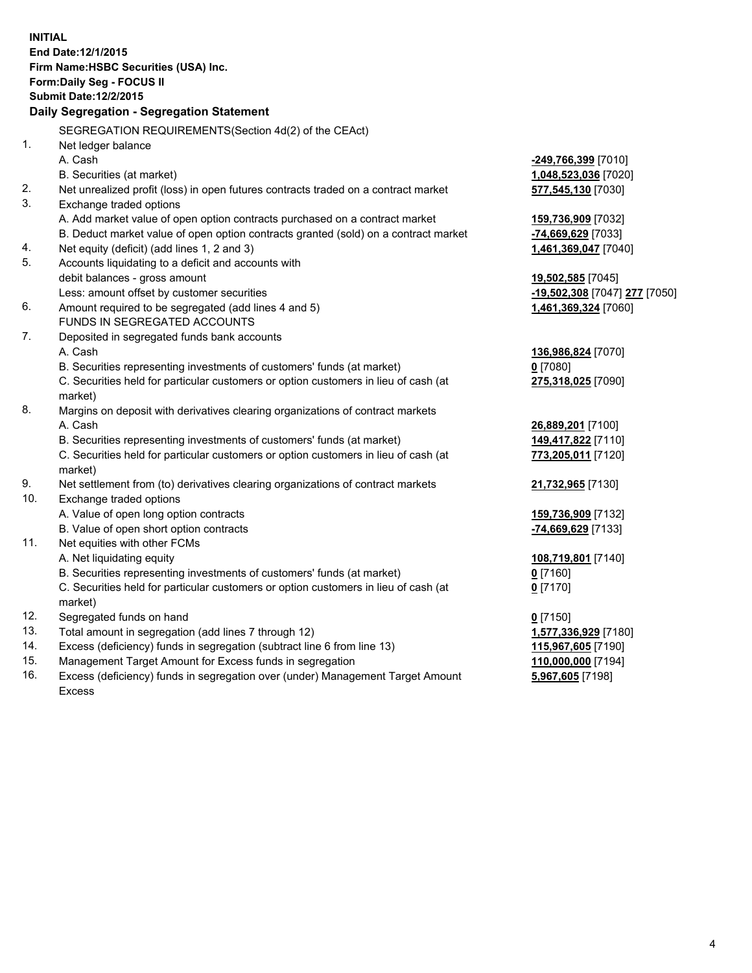| <b>INITIAL</b> | End Date: 12/1/2015<br>Firm Name: HSBC Securities (USA) Inc.<br>Form: Daily Seg - FOCUS II<br><b>Submit Date:12/2/2015</b><br>Daily Segregation - Segregation Statement |                               |
|----------------|-------------------------------------------------------------------------------------------------------------------------------------------------------------------------|-------------------------------|
|                |                                                                                                                                                                         |                               |
| 1.             | SEGREGATION REQUIREMENTS(Section 4d(2) of the CEAct)                                                                                                                    |                               |
|                | Net ledger balance<br>A. Cash                                                                                                                                           |                               |
|                |                                                                                                                                                                         | -249,766,399 [7010]           |
| 2.             | B. Securities (at market)                                                                                                                                               | 1,048,523,036 [7020]          |
| 3.             | Net unrealized profit (loss) in open futures contracts traded on a contract market<br>Exchange traded options                                                           | 577,545,130 [7030]            |
|                | A. Add market value of open option contracts purchased on a contract market                                                                                             | 159,736,909 [7032]            |
|                | B. Deduct market value of open option contracts granted (sold) on a contract market                                                                                     | -74,669,629 [7033]            |
| 4.             | Net equity (deficit) (add lines 1, 2 and 3)                                                                                                                             | 1,461,369,047 [7040]          |
| 5.             | Accounts liquidating to a deficit and accounts with                                                                                                                     |                               |
|                | debit balances - gross amount                                                                                                                                           | 19,502,585 [7045]             |
|                | Less: amount offset by customer securities                                                                                                                              | -19,502,308 [7047] 277 [7050] |
| 6.             | Amount required to be segregated (add lines 4 and 5)                                                                                                                    | 1,461,369,324 [7060]          |
|                | FUNDS IN SEGREGATED ACCOUNTS                                                                                                                                            |                               |
| 7.             | Deposited in segregated funds bank accounts                                                                                                                             |                               |
|                | A. Cash                                                                                                                                                                 | 136,986,824 [7070]            |
|                | B. Securities representing investments of customers' funds (at market)                                                                                                  | $0$ [7080]                    |
|                | C. Securities held for particular customers or option customers in lieu of cash (at                                                                                     | 275,318,025 [7090]            |
|                | market)                                                                                                                                                                 |                               |
| 8.             | Margins on deposit with derivatives clearing organizations of contract markets                                                                                          |                               |
|                | A. Cash                                                                                                                                                                 | 26,889,201 [7100]             |
|                | B. Securities representing investments of customers' funds (at market)                                                                                                  | 149,417,822 [7110]            |
|                | C. Securities held for particular customers or option customers in lieu of cash (at<br>market)                                                                          | 773,205,011 [7120]            |
| 9.             | Net settlement from (to) derivatives clearing organizations of contract markets                                                                                         | 21,732,965 [7130]             |
| 10.            | Exchange traded options                                                                                                                                                 |                               |
|                | A. Value of open long option contracts                                                                                                                                  | 159,736,909 [7132]            |
|                | B. Value of open short option contracts                                                                                                                                 | -74,669,629 [7133]            |
| 11.            | Net equities with other FCMs                                                                                                                                            |                               |
|                | A. Net liquidating equity                                                                                                                                               | 108,719,801 [7140]            |
|                | B. Securities representing investments of customers' funds (at market)                                                                                                  | <u>0</u> [7160]               |
|                | C. Securities held for particular customers or option customers in lieu of cash (at<br>market)                                                                          | $0$ [7170]                    |
| 12.            | Segregated funds on hand                                                                                                                                                | $0$ [7150]                    |
| 13.            | Total amount in segregation (add lines 7 through 12)                                                                                                                    | 1,577,336,929 [7180]          |
| 14.            | Excess (deficiency) funds in segregation (subtract line 6 from line 13)                                                                                                 | 115,967,605 [7190]            |
| 15.            | Management Target Amount for Excess funds in segregation                                                                                                                | 110,000,000 [7194]            |
| 16.            | Excess (deficiency) funds in segregation over (under) Management Target Amount                                                                                          | 5,967,605 [7198]              |

16. Excess (deficiency) funds in segregation over (under) Management Target Amount Excess